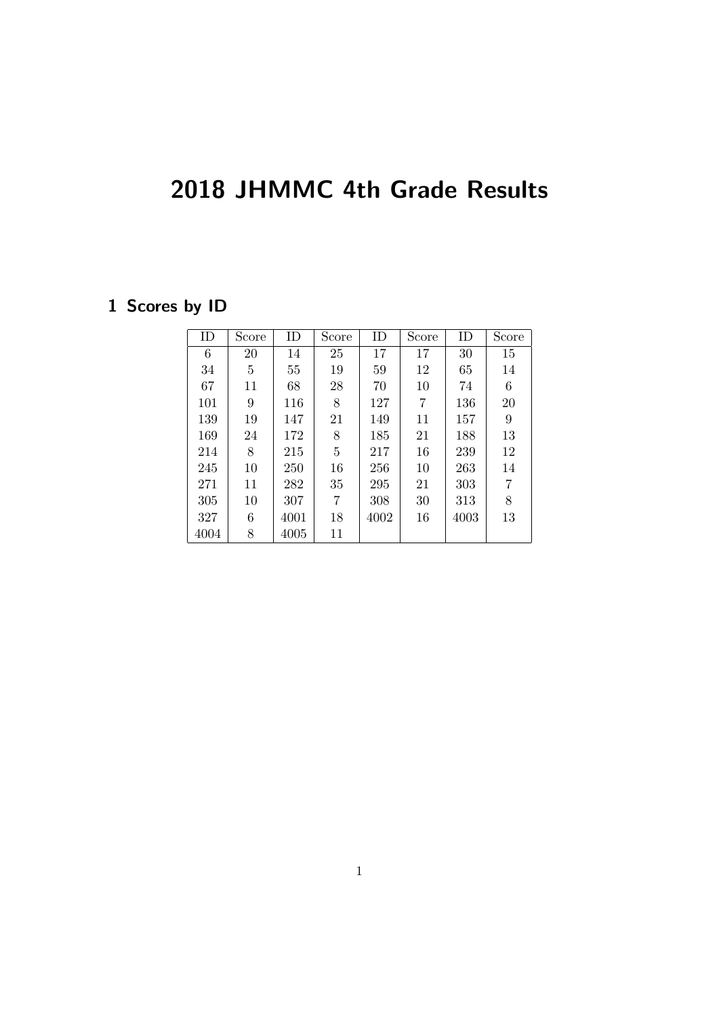## 2018 JHMMC 4th Grade Results

## 1 Scores by ID

| ID   | Score | ID   | Score | ID   | Score | ID   | Score          |
|------|-------|------|-------|------|-------|------|----------------|
| 6    | 20    | 14   | 25    | 17   | 17    | 30   | 15             |
| 34   | 5     | 55   | 19    | 59   | 12    | 65   | 14             |
| 67   | 11    | 68   | 28    | 70   | 10    | 74   | 6              |
| 101  | 9     | 116  | 8     | 127  | 7     | 136  | 20             |
| 139  | 19    | 147  | 21    | 149  | 11    | 157  | $9\,$          |
| 169  | 24    | 172  | 8     | 185  | 21    | 188  | 13             |
| 214  | 8     | 215  | 5     | 217  | 16    | 239  | 12             |
| 245  | 10    | 250  | 16    | 256  | 10    | 263  | 14             |
| 271  | 11    | 282  | 35    | 295  | 21    | 303  | $\overline{7}$ |
| 305  | 10    | 307  | 7     | 308  | 30    | 313  | 8              |
| 327  | 6     | 4001 | 18    | 4002 | 16    | 4003 | 13             |
| 4004 | 8     | 4005 | 11    |      |       |      |                |